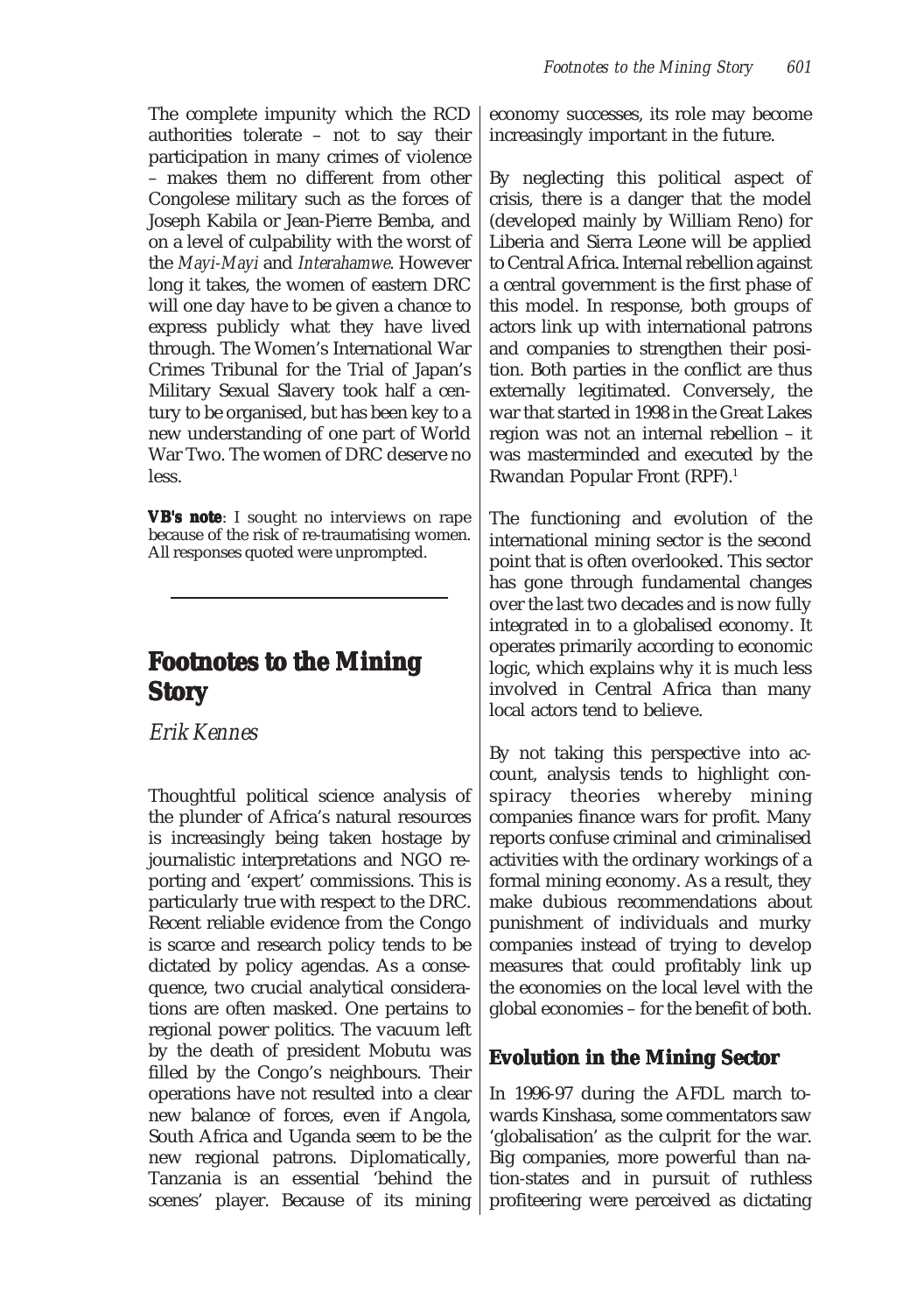The complete impunity which the RCD authorities tolerate – not to say their participation in many crimes of violence – makes them no different from other Congolese military such as the forces of Joseph Kabila or Jean-Pierre Bemba, and on a level of culpability with the worst of the *Mayi-Mayi* and *Interahamwe*. However long it takes, the women of eastern DRC will one day have to be given a chance to express publicly what they have lived through. The Women's International War Crimes Tribunal for the Trial of Japan's Military Sexual Slavery took half a century to be organised, but has been key to a new understanding of one part of World War Two. The women of DRC deserve no less.

**VB's note**: I sought no interviews on rape because of the risk of re-traumatising women. All responses quoted were unprompted.

## **Footnotes to the Mining Story**

*Erik Kennes*

Thoughtful political science analysis of the plunder of Africa's natural resources is increasingly being taken hostage by journalistic interpretations and NGO reporting and 'expert' commissions. This is particularly true with respect to the DRC. Recent reliable evidence from the Congo is scarce and research policy tends to be dictated by policy agendas. As a consequence, two crucial analytical considerations are often masked. One pertains to regional power politics. The vacuum left by the death of president Mobutu was filled by the Congo's neighbours. Their operations have not resulted into a clear new balance of forces, even if Angola, South Africa and Uganda seem to be the new regional patrons. Diplomatically, Tanzania is an essential 'behind the scenes' player. Because of its mining economy successes, its role may become increasingly important in the future.

By neglecting this political aspect of crisis, there is a danger that the model (developed mainly by William Reno) for Liberia and Sierra Leone will be applied to Central Africa. Internal rebellion against a central government is the first phase of this model. In response, both groups of actors link up with international patrons and companies to strengthen their position. Both parties in the conflict are thus externally legitimated. Conversely, the war that started in 1998 in the Great Lakes region was not an internal rebellion – it was masterminded and executed by the Rwandan Popular Front (RPF).1

The functioning and evolution of the international mining sector is the second point that is often overlooked. This sector has gone through fundamental changes over the last two decades and is now fully integrated in to a globalised economy. It operates primarily according to economic logic, which explains why it is much less involved in Central Africa than many local actors tend to believe.

By not taking this perspective into account, analysis tends to highlight conspiracy theories whereby mining companies finance wars for profit. Many reports confuse criminal and criminalised activities with the ordinary workings of a formal mining economy. As a result, they make dubious recommendations about punishment of individuals and murky companies instead of trying to develop measures that could profitably link up the economies on the local level with the global economies – for the benefit of both.

#### **Evolution in the Mining Sector**

In 1996-97 during the AFDL march towards Kinshasa, some commentators saw 'globalisation' as the culprit for the war. Big companies, more powerful than nation-states and in pursuit of ruthless profiteering were perceived as dictating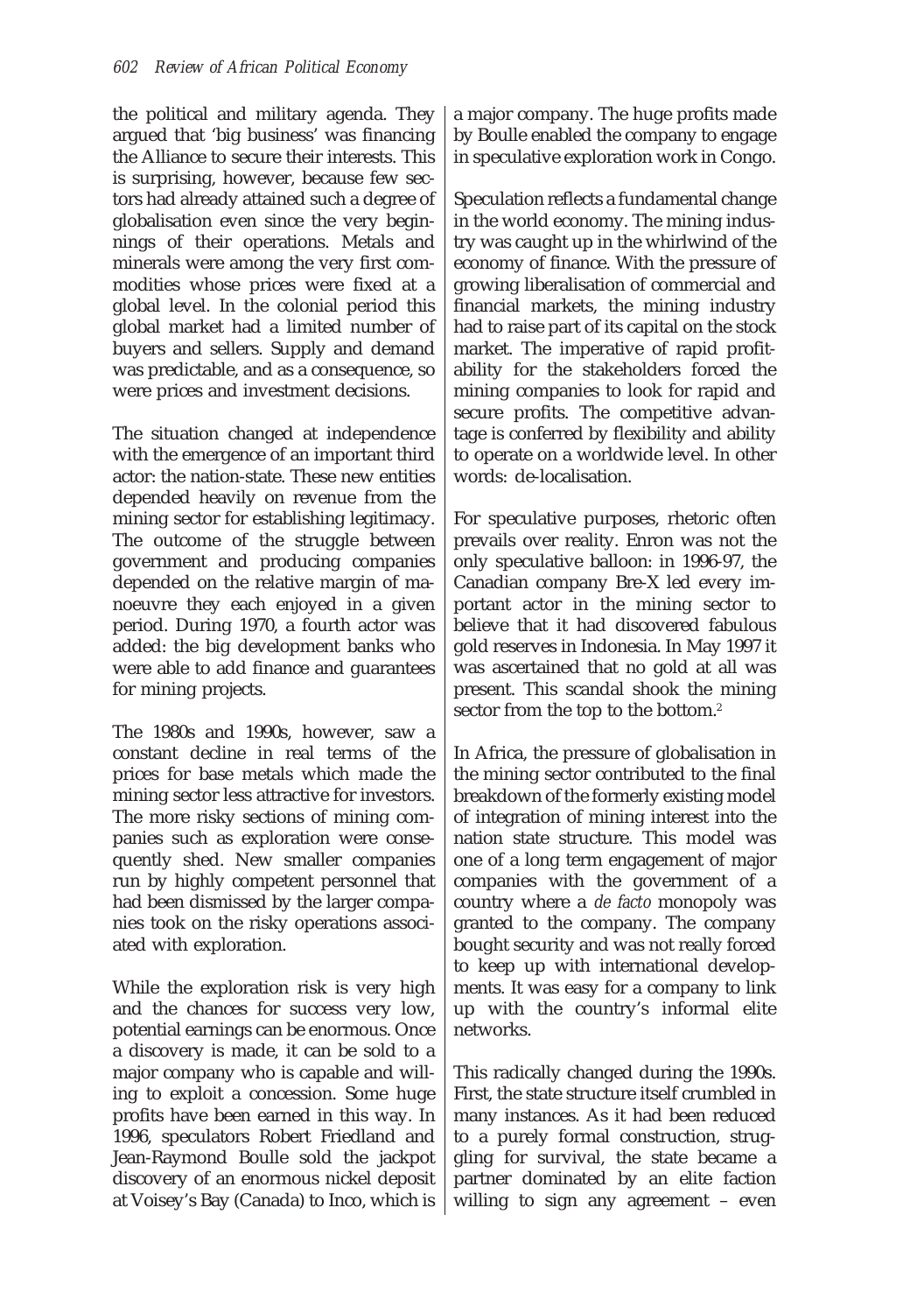the political and military agenda. They argued that 'big business' was financing the Alliance to secure their interests. This is surprising, however, because few sectors had already attained such a degree of globalisation even since the very beginnings of their operations. Metals and minerals were among the very first commodities whose prices were fixed at a global level. In the colonial period this global market had a limited number of buyers and sellers. Supply and demand was predictable, and as a consequence, so were prices and investment decisions.

The situation changed at independence with the emergence of an important third actor: the nation-state. These new entities depended heavily on revenue from the mining sector for establishing legitimacy. The outcome of the struggle between government and producing companies depended on the relative margin of manoeuvre they each enjoyed in a given period. During 1970, a fourth actor was added: the big development banks who were able to add finance and guarantees for mining projects.

The 1980s and 1990s, however, saw a constant decline in real terms of the prices for base metals which made the mining sector less attractive for investors. The more risky sections of mining companies such as exploration were consequently shed. New smaller companies run by highly competent personnel that had been dismissed by the larger companies took on the risky operations associated with exploration.

While the exploration risk is very high and the chances for success very low, potential earnings can be enormous. Once a discovery is made, it can be sold to a major company who is capable and willing to exploit a concession. Some huge profits have been earned in this way. In 1996, speculators Robert Friedland and Jean-Raymond Boulle sold the jackpot discovery of an enormous nickel deposit at Voisey's Bay (Canada) to Inco, which is a major company. The huge profits made by Boulle enabled the company to engage in speculative exploration work in Congo.

Speculation reflects a fundamental change in the world economy. The mining industry was caught up in the whirlwind of the economy of finance. With the pressure of growing liberalisation of commercial and financial markets, the mining industry had to raise part of its capital on the stock market. The imperative of rapid profitability for the stakeholders forced the mining companies to look for rapid and secure profits. The competitive advantage is conferred by flexibility and ability to operate on a worldwide level. In other words: de-localisation.

For speculative purposes, rhetoric often prevails over reality. Enron was not the only speculative balloon: in 1996-97, the Canadian company Bre-X led every important actor in the mining sector to believe that it had discovered fabulous gold reserves in Indonesia. In May 1997 it was ascertained that no gold at all was present. This scandal shook the mining sector from the top to the bottom.<sup>2</sup>

In Africa, the pressure of globalisation in the mining sector contributed to the final breakdown of the formerly existing model of integration of mining interest into the nation state structure. This model was one of a long term engagement of major companies with the government of a country where a *de facto* monopoly was granted to the company. The company bought security and was not really forced to keep up with international developments. It was easy for a company to link up with the country's informal elite networks.

This radically changed during the 1990s. First, the state structure itself crumbled in many instances. As it had been reduced to a purely formal construction, struggling for survival, the state became a partner dominated by an elite faction willing to sign any agreement – even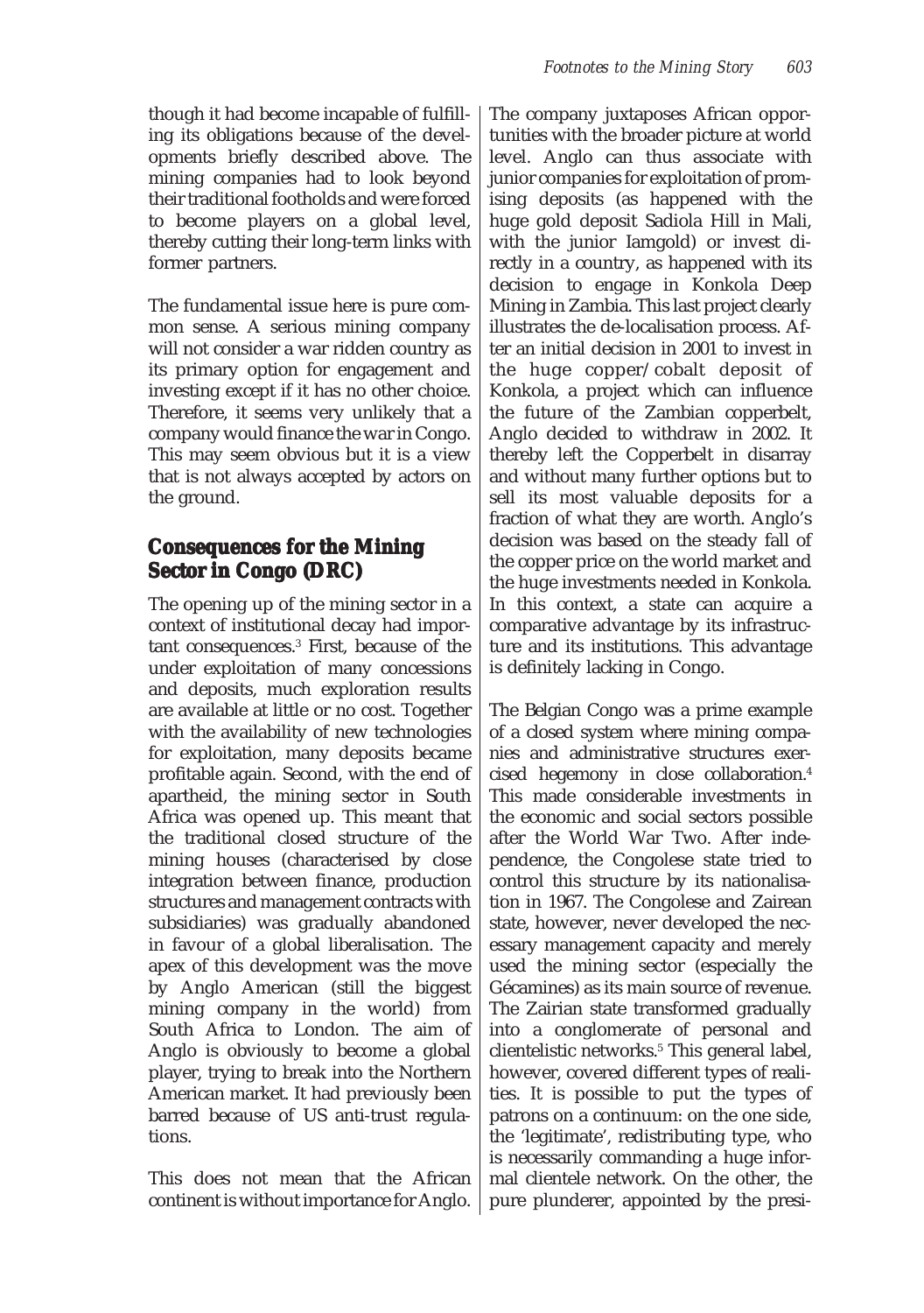though it had become incapable of fulfilling its obligations because of the developments briefly described above. The mining companies had to look beyond their traditional footholds and were forced to become players on a global level, thereby cutting their long-term links with former partners.

The fundamental issue here is pure common sense. A serious mining company will not consider a war ridden country as its primary option for engagement and investing except if it has no other choice. Therefore, it seems very unlikely that a company would finance the war in Congo. This may seem obvious but it is a view that is not always accepted by actors on the ground.

### **Consequences for the Mining Sector in Congo (DRC)**

The opening up of the mining sector in a context of institutional decay had important consequences.3 First, because of the under exploitation of many concessions and deposits, much exploration results are available at little or no cost. Together with the availability of new technologies for exploitation, many deposits became profitable again. Second, with the end of apartheid, the mining sector in South Africa was opened up. This meant that the traditional closed structure of the mining houses (characterised by close integration between finance, production structures and management contracts with subsidiaries) was gradually abandoned in favour of a global liberalisation. The apex of this development was the move by Anglo American (still the biggest mining company in the world) from South Africa to London. The aim of Anglo is obviously to become a global player, trying to break into the Northern American market. It had previously been barred because of US anti-trust regulations.

This does not mean that the African continent is without importance for Anglo.

The company juxtaposes African opportunities with the broader picture at world level. Anglo can thus associate with junior companies for exploitation of promising deposits (as happened with the huge gold deposit Sadiola Hill in Mali, with the junior Iamgold) or invest directly in a country, as happened with its decision to engage in Konkola Deep Mining in Zambia. This last project clearly illustrates the de-localisation process. After an initial decision in 2001 to invest in the huge copper/cobalt deposit of Konkola, a project which can influence the future of the Zambian copperbelt, Anglo decided to withdraw in 2002. It thereby left the Copperbelt in disarray and without many further options but to sell its most valuable deposits for a fraction of what they are worth. Anglo's decision was based on the steady fall of the copper price on the world market and the huge investments needed in Konkola. In this context, a state can acquire a comparative advantage by its infrastructure and its institutions. This advantage is definitely lacking in Congo.

The Belgian Congo was a prime example of a closed system where mining companies and administrative structures exercised hegemony in close collaboration.4 This made considerable investments in the economic and social sectors possible after the World War Two. After independence, the Congolese state tried to control this structure by its nationalisation in 1967. The Congolese and Zairean state, however, never developed the necessary management capacity and merely used the mining sector (especially the Gécamines) as its main source of revenue. The Zairian state transformed gradually into a conglomerate of personal and clientelistic networks.5 This general label, however, covered different types of realities. It is possible to put the types of patrons on a continuum: on the one side, the 'legitimate', redistributing type, who is necessarily commanding a huge informal clientele network. On the other, the pure plunderer, appointed by the presi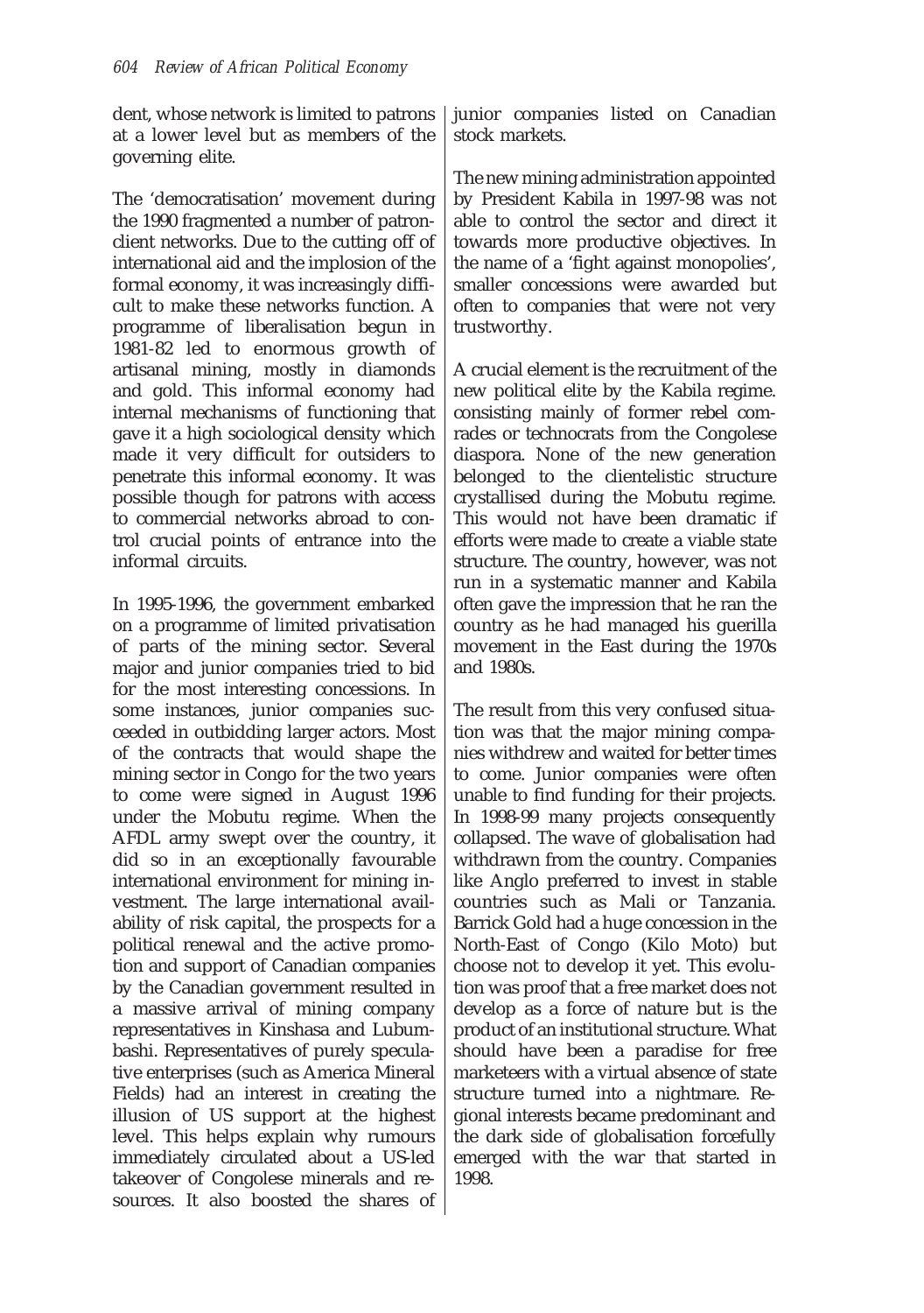dent, whose network is limited to patrons at a lower level but as members of the governing elite.

The 'democratisation' movement during the 1990 fragmented a number of patronclient networks. Due to the cutting off of international aid and the implosion of the formal economy, it was increasingly difficult to make these networks function. A programme of liberalisation begun in 1981-82 led to enormous growth of artisanal mining, mostly in diamonds and gold. This informal economy had internal mechanisms of functioning that gave it a high sociological density which made it very difficult for outsiders to penetrate this informal economy. It was possible though for patrons with access to commercial networks abroad to control crucial points of entrance into the informal circuits.

In 1995-1996, the government embarked on a programme of limited privatisation of parts of the mining sector. Several major and junior companies tried to bid for the most interesting concessions. In some instances, junior companies succeeded in outbidding larger actors. Most of the contracts that would shape the mining sector in Congo for the two years to come were signed in August 1996 under the Mobutu regime. When the AFDL army swept over the country, it did so in an exceptionally favourable international environment for mining investment. The large international availability of risk capital, the prospects for a political renewal and the active promotion and support of Canadian companies by the Canadian government resulted in a massive arrival of mining company representatives in Kinshasa and Lubumbashi. Representatives of purely speculative enterprises (such as America Mineral Fields) had an interest in creating the illusion of US support at the highest level. This helps explain why rumours immediately circulated about a US-led takeover of Congolese minerals and resources. It also boosted the shares of junior companies listed on Canadian stock markets.

The new mining administration appointed by President Kabila in 1997-98 was not able to control the sector and direct it towards more productive objectives. In the name of a 'fight against monopolies', smaller concessions were awarded but often to companies that were not very trustworthy.

A crucial element is the recruitment of the new political elite by the Kabila regime. consisting mainly of former rebel comrades or technocrats from the Congolese diaspora. None of the new generation belonged to the clientelistic structure crystallised during the Mobutu regime. This would not have been dramatic if efforts were made to create a viable state structure. The country, however, was not run in a systematic manner and Kabila often gave the impression that he ran the country as he had managed his guerilla movement in the East during the 1970s and 1980s.

The result from this very confused situation was that the major mining companies withdrew and waited for better times to come. Junior companies were often unable to find funding for their projects. In 1998-99 many projects consequently collapsed. The wave of globalisation had withdrawn from the country. Companies like Anglo preferred to invest in stable countries such as Mali or Tanzania. Barrick Gold had a huge concession in the North-East of Congo (Kilo Moto) but choose not to develop it yet. This evolution was proof that a free market does not develop as a force of nature but is the product of an institutional structure. What should have been a paradise for free marketeers with a virtual absence of state structure turned into a nightmare. Regional interests became predominant and the dark side of globalisation forcefully emerged with the war that started in 1998.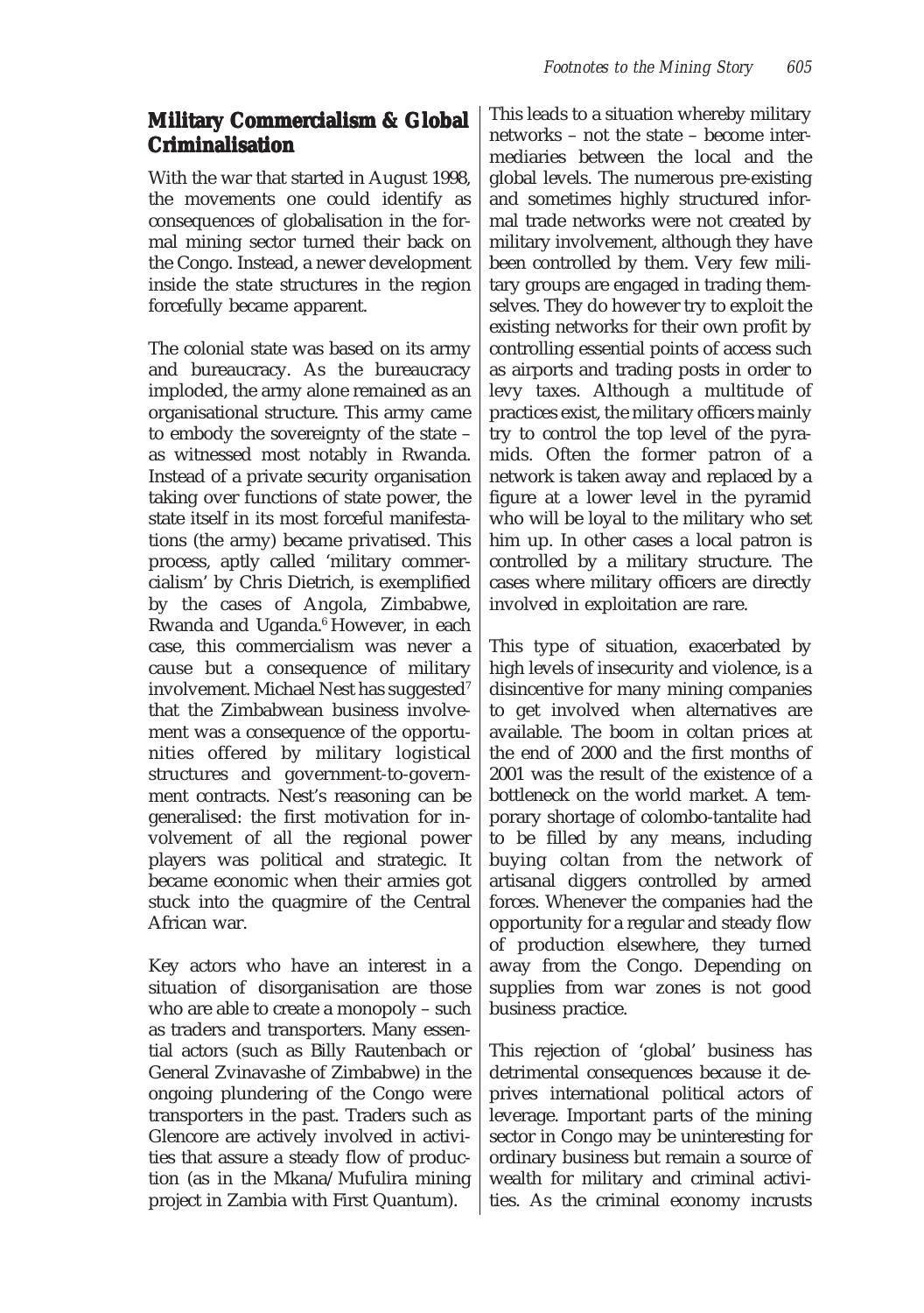### **Military Commercialism & Global Criminalisation**

With the war that started in August 1998, the movements one could identify as consequences of globalisation in the formal mining sector turned their back on the Congo. Instead, a newer development inside the state structures in the region forcefully became apparent.

The colonial state was based on its army and bureaucracy. As the bureaucracy imploded, the army alone remained as an organisational structure. This army came to embody the sovereignty of the state – as witnessed most notably in Rwanda. Instead of a private security organisation taking over functions of state power, the state itself in its most forceful manifestations (the army) became privatised. This process, aptly called 'military commercialism' by Chris Dietrich, is exemplified by the cases of Angola, Zimbabwe, Rwanda and Uganda.<sup>6</sup> However, in each case, this commercialism was never a cause but a consequence of military involvement. Michael Nest has suggested<sup>7</sup> that the Zimbabwean business involvement was a consequence of the opportunities offered by military logistical structures and government-to-government contracts. Nest's reasoning can be generalised: the first motivation for involvement of all the regional power players was political and strategic. It became economic when their armies got stuck into the quagmire of the Central African war.

Key actors who have an interest in a situation of disorganisation are those who are able to create a monopoly – such as traders and transporters. Many essential actors (such as Billy Rautenbach or General Zvinavashe of Zimbabwe) in the ongoing plundering of the Congo were transporters in the past. Traders such as Glencore are actively involved in activities that assure a steady flow of production (as in the Mkana/Mufulira mining project in Zambia with First Quantum).

This leads to a situation whereby military networks – not the state – become intermediaries between the local and the global levels. The numerous pre-existing and sometimes highly structured informal trade networks were not created by military involvement, although they have been controlled by them. Very few military groups are engaged in trading themselves. They do however try to exploit the existing networks for their own profit by controlling essential points of access such as airports and trading posts in order to levy taxes. Although a multitude of practices exist, the military officers mainly try to control the top level of the pyramids. Often the former patron of a network is taken away and replaced by a figure at a lower level in the pyramid who will be loyal to the military who set him up. In other cases a local patron is controlled by a military structure. The cases where military officers are directly involved in exploitation are rare.

This type of situation, exacerbated by high levels of insecurity and violence, is a disincentive for many mining companies to get involved when alternatives are available. The boom in coltan prices at the end of 2000 and the first months of 2001 was the result of the existence of a bottleneck on the world market. A temporary shortage of colombo-tantalite had to be filled by any means, including buying coltan from the network of artisanal diggers controlled by armed forces. Whenever the companies had the opportunity for a regular and steady flow of production elsewhere, they turned away from the Congo. Depending on supplies from war zones is not good business practice.

This rejection of 'global' business has detrimental consequences because it deprives international political actors of leverage. Important parts of the mining sector in Congo may be uninteresting for ordinary business but remain a source of wealth for military and criminal activities. As the criminal economy incrusts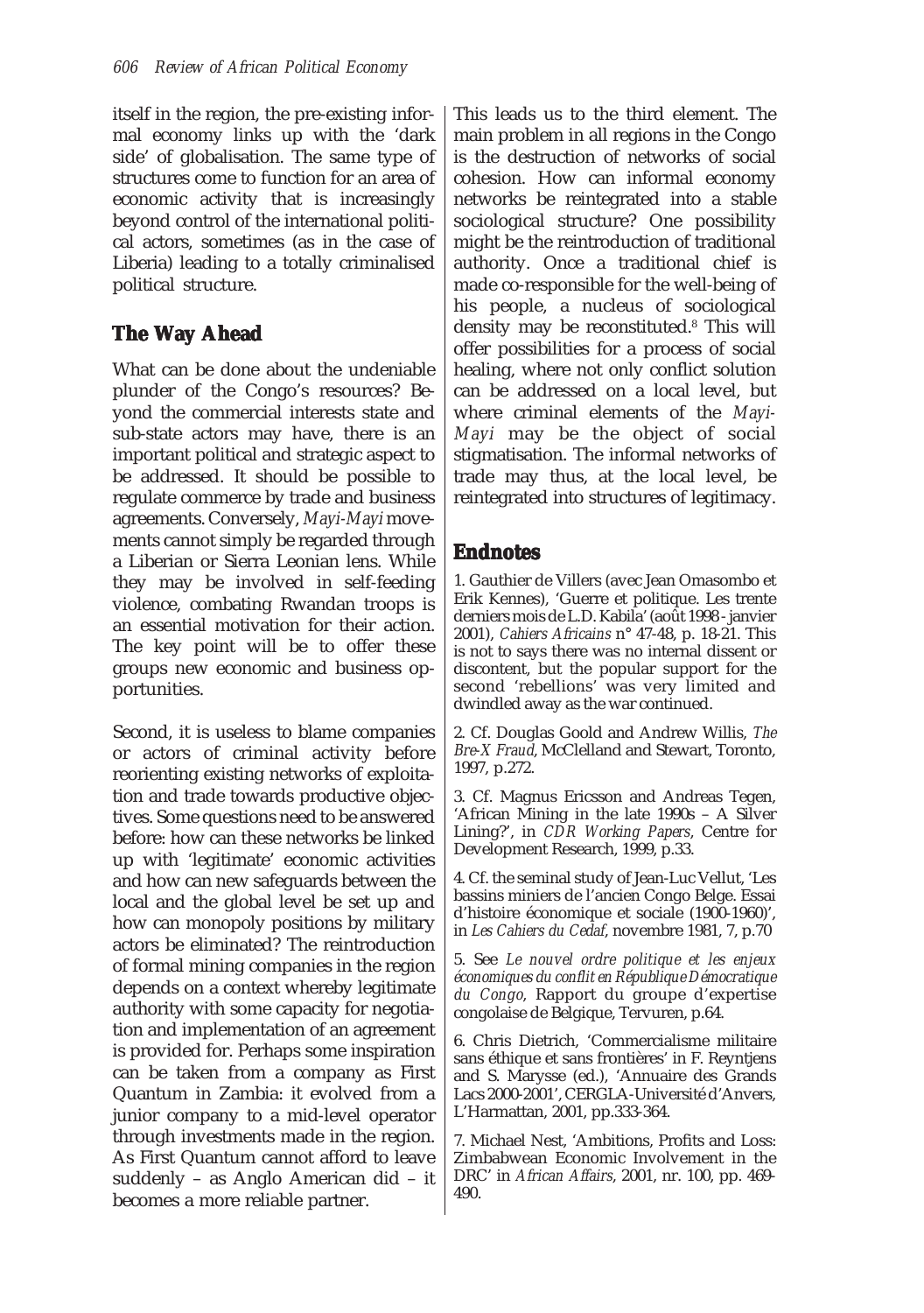itself in the region, the pre-existing informal economy links up with the 'dark side' of globalisation. The same type of structures come to function for an area of economic activity that is increasingly beyond control of the international political actors, sometimes (as in the case of Liberia) leading to a totally criminalised political structure.

### **The Way Ahead**

What can be done about the undeniable plunder of the Congo's resources? Beyond the commercial interests state and sub-state actors may have, there is an important political and strategic aspect to be addressed. It should be possible to regulate commerce by trade and business agreements. Conversely, *Mayi-Mayi* movements cannot simply be regarded through a Liberian or Sierra Leonian lens. While they may be involved in self-feeding violence, combating Rwandan troops is an essential motivation for their action. The key point will be to offer these groups new economic and business opportunities.

Second, it is useless to blame companies or actors of criminal activity before reorienting existing networks of exploitation and trade towards productive objectives. Some questions need to be answered before: how can these networks be linked up with 'legitimate' economic activities and how can new safeguards between the local and the global level be set up and how can monopoly positions by military actors be eliminated? The reintroduction of formal mining companies in the region depends on a context whereby legitimate authority with some capacity for negotiation and implementation of an agreement is provided for. Perhaps some inspiration can be taken from a company as First Quantum in Zambia: it evolved from a junior company to a mid-level operator through investments made in the region. As First Quantum cannot afford to leave suddenly – as Anglo American did – it becomes a more reliable partner.

This leads us to the third element. The main problem in all regions in the Congo is the destruction of networks of social cohesion. How can informal economy networks be reintegrated into a stable sociological structure? One possibility might be the reintroduction of traditional authority. Once a traditional chief is made co-responsible for the well-being of his people, a nucleus of sociological density may be reconstituted.8 This will offer possibilities for a process of social healing, where not only conflict solution can be addressed on a local level, but where criminal elements of the *Mayi-Mayi* may be the object of social stigmatisation. The informal networks of trade may thus, at the local level, be reintegrated into structures of legitimacy.

### **Endnotes**

1. Gauthier de Villers (avec Jean Omasombo et Erik Kennes), 'Guerre et politique. Les trente derniers mois de L.D. Kabila'(août 1998 - janvier 2001), *Cahiers Africains* n° 47-48, p. 18-21. This is not to says there was no internal dissent or discontent, but the popular support for the second 'rebellions' was very limited and dwindled away as the war continued.

2. Cf. Douglas Goold and Andrew Willis, *The Bre-X Fraud*, McClelland and Stewart, Toronto, 1997, p.272.

3. Cf. Magnus Ericsson and Andreas Tegen, 'African Mining in the late 1990s – A Silver Lining?', in *CDR Working Papers*, Centre for Development Research, 1999, p.33.

4. Cf. the seminal study of Jean-Luc Vellut, 'Les bassins miniers de l'ancien Congo Belge. Essai d'histoire économique et sociale (1900-1960)', in *Les Cahiers du Cedaf*, novembre 1981, 7, p.70

5. See *Le nouvel ordre politique et les enjeux économiques du conflit en République Démocratique du Congo*, Rapport du groupe d'expertise congolaise de Belgique, Tervuren, p.64.

6. Chris Dietrich, 'Commercialisme militaire sans éthique et sans frontières' in F. Reyntjens and S. Marysse (ed.), 'Annuaire des Grands Lacs 2000-2001', CERGLA-Université d'Anvers, L'Harmattan, 2001, pp.333-364.

7. Michael Nest, 'Ambitions, Profits and Loss: Zimbabwean Economic Involvement in the DRC' in *African Affairs*, 2001, nr. 100, pp. 469- 490.